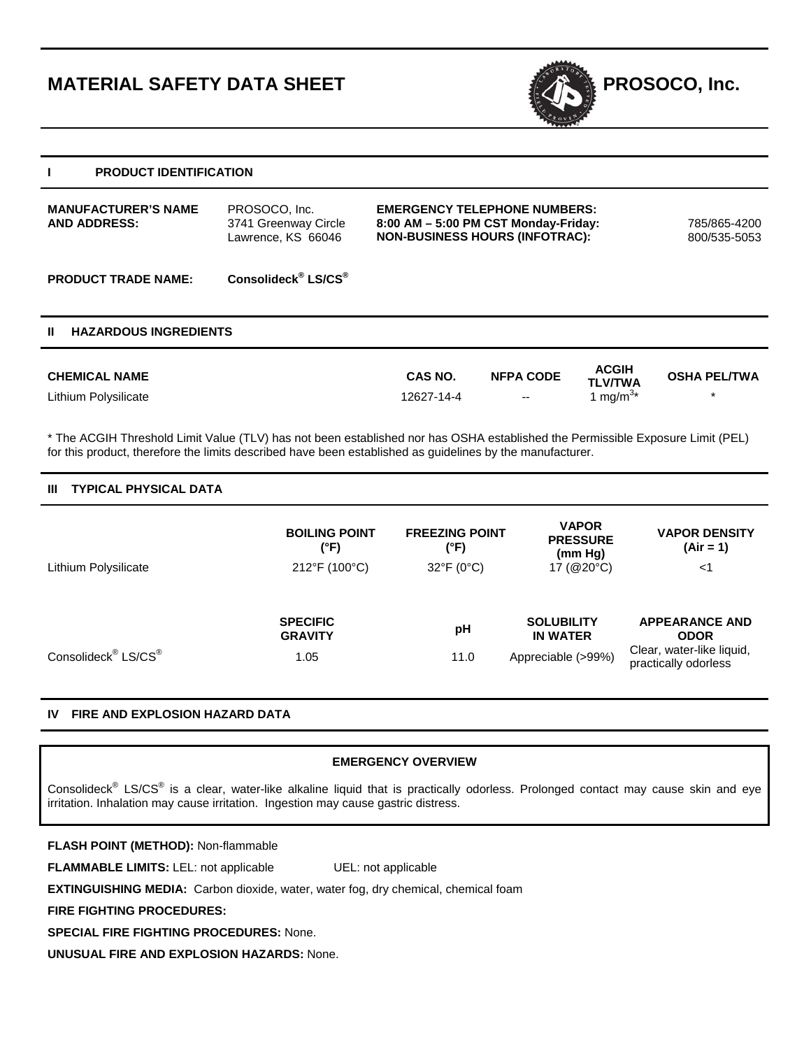# **MATERIAL SAFETY DATA SHEET EXAMPLE ASSESSMENT REPOSOCO, Inc.**



# **I PRODUCT IDENTIFICATION**

| <b>MANUFACTURER'S NAME</b><br><b>AND ADDRESS:</b> | PROSOCO, Inc.<br>3741 Greenway Circle<br>Lawrence, KS 66046 | <b>EMERGENCY TELEPHONE NUMBERS:</b><br>8:00 AM - 5:00 PM CST Monday-Friday:<br><b>NON-BUSINESS HOURS (INFOTRAC):</b> | 785/865-4200<br>800/535-5053 |
|---------------------------------------------------|-------------------------------------------------------------|----------------------------------------------------------------------------------------------------------------------|------------------------------|
| <b>PRODUCT TRADE NAME:</b>                        | Consolideck <sup>®</sup> LS/CS <sup>®</sup>                 |                                                                                                                      |                              |

## **II HAZARDOUS INGREDIENTS**

| <b>CHEMICAL NAME</b> | <b>CAS NO.</b> | <b>NFPA CODE</b>         | <b>ACGIH</b><br><b>TLV/TWA</b>   | <b>OSHA PEL/TWA</b> |
|----------------------|----------------|--------------------------|----------------------------------|---------------------|
| Lithium Polysilicate | 12627-14-4     | $\overline{\phantom{a}}$ | $\mathsf{Im}$ ma/m <sup>3*</sup> |                     |

\* The ACGIH Threshold Limit Value (TLV) has not been established nor has OSHA established the Permissible Exposure Limit (PEL) for this product, therefore the limits described have been established as guidelines by the manufacturer.

# **III TYPICAL PHYSICAL DATA**

|                                             | <b>BOILING POINT</b><br>(°F)      | <b>FREEZING POINT</b><br>(°F) | <b>VAPOR</b><br><b>PRESSURE</b><br>(mm Hq) | <b>VAPOR DENSITY</b><br>$(Air = 1)$               |
|---------------------------------------------|-----------------------------------|-------------------------------|--------------------------------------------|---------------------------------------------------|
| Lithium Polysilicate                        | 212°F (100°C)                     | $32^{\circ}F(0^{\circ}C)$     | 17 ( $@20^{\circ}$ C)                      | $<$ 1                                             |
|                                             |                                   |                               |                                            |                                                   |
|                                             | <b>SPECIFIC</b><br><b>GRAVITY</b> | рH                            | <b>SOLUBILITY</b><br><b>IN WATER</b>       | <b>APPEARANCE AND</b><br><b>ODOR</b>              |
| Consolideck <sup>®</sup> LS/CS <sup>®</sup> | 1.05                              | 11.0                          | Appreciable (>99%)                         | Clear, water-like liquid,<br>practically odorless |

# **IV FIRE AND EXPLOSION HAZARD DATA**

## **EMERGENCY OVERVIEW**

Consolideck<sup>®</sup> LS/CS<sup>®</sup> is a clear, water-like alkaline liquid that is practically odorless. Prolonged contact may cause skin and eye irritation. Inhalation may cause irritation. Ingestion may cause gastric distress.

**FLASH POINT (METHOD):** Non-flammable

**FLAMMABLE LIMITS:** LEL: not applicable UEL: not applicable

**EXTINGUISHING MEDIA:** Carbon dioxide, water, water fog, dry chemical, chemical foam

**FIRE FIGHTING PROCEDURES:** 

**SPECIAL FIRE FIGHTING PROCEDURES:** None.

**UNUSUAL FIRE AND EXPLOSION HAZARDS:** None.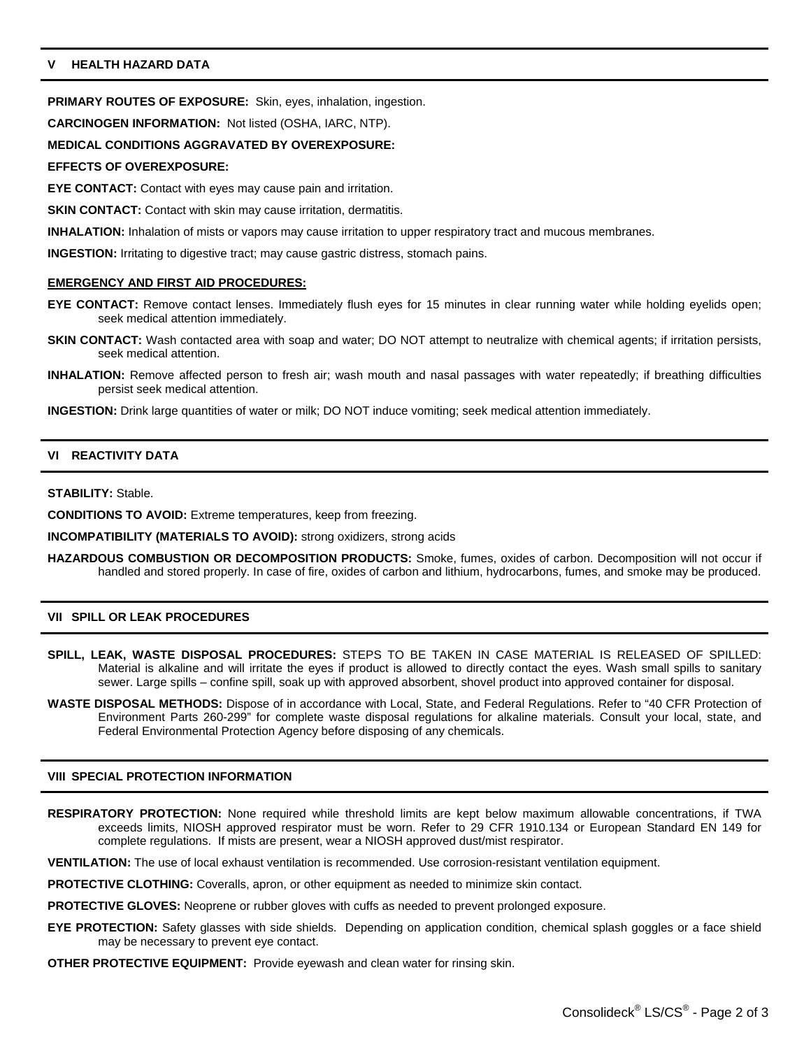# **V HEALTH HAZARD DATA**

**PRIMARY ROUTES OF EXPOSURE:** Skin, eyes, inhalation, ingestion.

**CARCINOGEN INFORMATION:** Not listed (OSHA, IARC, NTP).

## **MEDICAL CONDITIONS AGGRAVATED BY OVEREXPOSURE:**

#### **EFFECTS OF OVEREXPOSURE:**

**EYE CONTACT:** Contact with eyes may cause pain and irritation.

**SKIN CONTACT:** Contact with skin may cause irritation, dermatitis.

**INHALATION:** Inhalation of mists or vapors may cause irritation to upper respiratory tract and mucous membranes.

**INGESTION:** Irritating to digestive tract; may cause gastric distress, stomach pains.

## **EMERGENCY AND FIRST AID PROCEDURES:**

- **EYE CONTACT:** Remove contact lenses. Immediately flush eyes for 15 minutes in clear running water while holding eyelids open; seek medical attention immediately.
- **SKIN CONTACT:** Wash contacted area with soap and water; DO NOT attempt to neutralize with chemical agents; if irritation persists, seek medical attention.
- **INHALATION:** Remove affected person to fresh air; wash mouth and nasal passages with water repeatedly; if breathing difficulties persist seek medical attention.

**INGESTION:** Drink large quantities of water or milk; DO NOT induce vomiting; seek medical attention immediately.

## **VI REACTIVITY DATA**

**STABILITY:** Stable.

**CONDITIONS TO AVOID:** Extreme temperatures, keep from freezing.

**INCOMPATIBILITY (MATERIALS TO AVOID):** strong oxidizers, strong acids

**HAZARDOUS COMBUSTION OR DECOMPOSITION PRODUCTS:** Smoke, fumes, oxides of carbon. Decomposition will not occur if handled and stored properly. In case of fire, oxides of carbon and lithium, hydrocarbons, fumes, and smoke may be produced.

## **VII SPILL OR LEAK PROCEDURES**

- **SPILL, LEAK, WASTE DISPOSAL PROCEDURES:** STEPS TO BE TAKEN IN CASE MATERIAL IS RELEASED OF SPILLED: Material is alkaline and will irritate the eyes if product is allowed to directly contact the eyes. Wash small spills to sanitary sewer. Large spills – confine spill, soak up with approved absorbent, shovel product into approved container for disposal.
- **WASTE DISPOSAL METHODS:** Dispose of in accordance with Local, State, and Federal Regulations. Refer to "40 CFR Protection of Environment Parts 260-299" for complete waste disposal regulations for alkaline materials. Consult your local, state, and Federal Environmental Protection Agency before disposing of any chemicals.

## **VIII SPECIAL PROTECTION INFORMATION**

**RESPIRATORY PROTECTION:** None required while threshold limits are kept below maximum allowable concentrations, if TWA exceeds limits, NIOSH approved respirator must be worn. Refer to 29 CFR 1910.134 or European Standard EN 149 for complete regulations. If mists are present, wear a NIOSH approved dust/mist respirator.

**VENTILATION:** The use of local exhaust ventilation is recommended. Use corrosion-resistant ventilation equipment.

**PROTECTIVE CLOTHING:** Coveralls, apron, or other equipment as needed to minimize skin contact.

**PROTECTIVE GLOVES:** Neoprene or rubber gloves with cuffs as needed to prevent prolonged exposure.

**EYE PROTECTION:** Safety glasses with side shields. Depending on application condition, chemical splash goggles or a face shield may be necessary to prevent eye contact.

**OTHER PROTECTIVE EQUIPMENT:** Provide eyewash and clean water for rinsing skin.